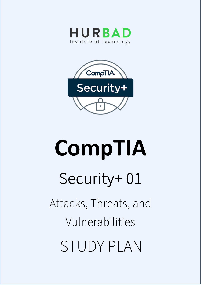



# **CompTIA**  Security+ 01 Attacks, Threats, and Vulnerabilities STUDY PLAN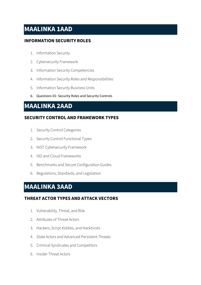## **MAALINKA 1AAD**

#### **INFORMATION SECURITY ROLES**

- 1. Information Security
- 2. Cybersecurity Framework
- 3. Information Security Competencies
- 4. Information Security Roles and Responsibilities
- 5. Information Security Business Units
- 6. Questions 01: Security Roles and Security Controls

### **MAALINKA 2AAD**

#### **SECURITY CONTROL AND FRAMEWORK TYPES**

- 1. Security Control Categories
- 2. Security Control Functional Types
- 3. NIST Cybersecurity Framework
- 4. ISO and Cloud Frameworks
- 5. Benchmarks and Secure Configuration Guides
- 6. Regulations, Standards, and Legislation

## **MAALINKA 3AAD**

#### **THREAT ACTOR TYPES AND ATTACK VECTORS**

- 1. Vulnerability, Threat, and Risk
- 2. Attributes of Threat Actors
- 3. Hackers, Script Kiddies, and Hacktivists
- 4. State Actors and Advanced Persistent Threats
- 5. Criminal Syndicates and Competitors
- 6. Insider Threat Actors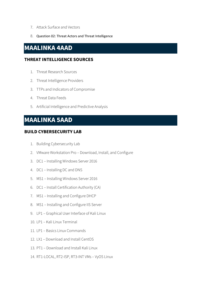- 7. Attack Surface and Vectors
- 8. Question 02: Threat Actors and Threat Intelligence

## **MAALINKA 4AAD**

#### **THREAT INTELLIGENCE SOURCES**

- 1. Threat Research Sources
- 2. Threat Intelligence Providers
- 3. TTPs and Indicators of Compromise
- 4. Threat Data Feeds
- 5. Artificial Intelligence and Predictive Analysis

## **MAALINKA 5AAD**

#### **BUILD CYBERSECURITY LAB**

- 1. Building Cybersecurity Lab
- 2. VMware Workstation Pro Download, Install, and Configure
- 3. DC1 Installing Windows Server 2016
- 4. DC1 Installing DC and DNS
- 5. MS1 Installing Windows Server 2016
- 6. DC1 Install Certification Authority (CA)
- 7. MS1 Installing and Configure DHCP
- 8. MS1 Installing and Configure IIS Server
- 9. LP1 Graphical User Interface of Kali Linux
- 10. LP1 Kali Linux Terminal
- 11. LP1 Basics Linux Commands
- 12. LX1 Download and Install CentOS
- 13. PT1 Download and Install Kali Linux
- 14. RT1-LOCAL, RT2-ISP, RT3-INT VMs VyOS Linux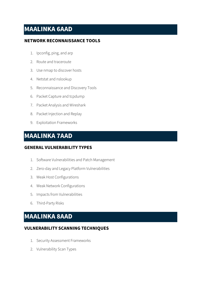## **MAALINKA 6AAD**

#### **NETWORK RECONNAISSANCE TOOLS**

- 1. Ipconfig, ping, and arp
- 2. Route and traceroute
- 3. Use nmap to discover hosts
- 4. Netstat and nslookup
- 5. Reconnaissance and Discovery Tools
- 6. Packet Capture and tcpdump
- 7. Packet Analysis and Wireshark
- 8. Packet Injection and Replay
- 9. Exploitation Frameworks

## **MAALINKA 7AAD**

#### **GENERAL VULNERABILITY TYPES**

- 1. Software Vulnerabilities and Patch Management
- 2. Zero-day and Legacy Platform Vulnerabilities
- 3. Weak Host Configurations
- 4. Weak Network Configurations
- 5. Impacts from Vulnerabilities
- 6. Third-Party Risks

## **MAALINKA 8AAD**

#### **VULNERABILITY SCANNING TECHNIQUES**

- 1. Security Assessment Frameworks
- 2. Vulnerability Scan Types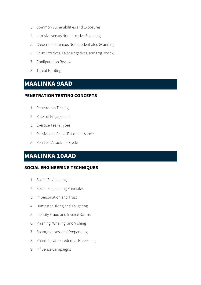- 3. Common Vulnerabilities and Exposures
- 4. Intrusive versus Non-intrusive Scanning
- 5. Credentialed versus Non-credentialed Scanning
- 6. False Positives, False Negatives, and Log Review
- 7. Configuration Review
- 8. Threat Hunting

## **MAALINKA 9AAD**

#### **PENETRATION TESTING CONCEPTS**

- 1. Penetration Testing
- 2. Rules of Engagement
- 3. Exercise Team Types
- 4. Passive and Active Reconnaissance
- 5. Pen Test Attack Life Cycle

## **MAALINKA 10AAD**

#### **SOCIAL ENGINEERING TECHNIQUES**

- 1. Social Engineering
- 2. Social Engineering Principles
- 3. Impersonation and Trust
- 4. Dumpster Diving and Tailgating
- 5. Identity Fraud and Invoice Scams
- 6. Phishing, Whaling, and Vishing
- 7. Spam, Hoaxes, and Prepending
- 8. Pharming and Credential Harvesting
- 9. Influence Campaigns